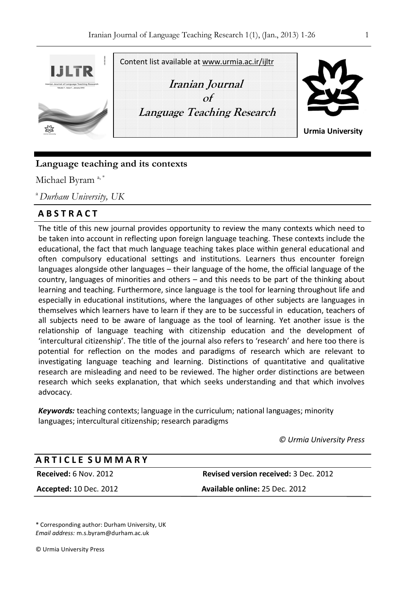

# **Language teaching and its contexts**

Michael Byram<sup>a,\*</sup>

<sup>a</sup>*Durham University, UK* 

# **A B S T R A C T**

The title of this new journal provides opportunity to review the many contexts which need to be taken into account in reflecting upon foreign language teaching. These contexts include the educational, the fact that much language teaching takes place within general educational and often compulsory educational settings and institutions. Learners thus encounter foreign languages alongside other languages – their language of the home, the official language of the country, languages of minorities and others – and this needs to be part of the thinking about learning and teaching. Furthermore, since language is the tool for learning throughout life and especially in educational institutions, where the languages of other subjects are languages in themselves which learners have to learn if they are to be successful in education, teachers of all subjects need to be aware of language as the tool of learning. Yet another issue is the relationship of language teaching with citizenship education and the development of 'intercultural citizenship'. The title of the journal also refers to 'research' and here too there is potential for reflection on the modes and paradigms of research which are relevant to investigating language teaching and learning. Distinctions of quantitative and qualitative research are misleading and need to be reviewed. The higher order distinctions are between research which seeks explanation, that which seeks understanding and that which involves advocacy.

*Keywords:* teaching contexts; language in the curriculum; national languages; minority languages; intercultural citizenship; research paradigms

*© Urmia University Press*

# **Received:** 6 Nov. 2012 **Revised version received:** 3 Dec. 2012 **Accepted:** 10 Dec. 2012 **Available online:** 25 Dec. 2012 **A R T I C L E S U M M A R Y**

\* Corresponding author: Durham University, UK *Email address:* m.s.byram@durham.ac.uk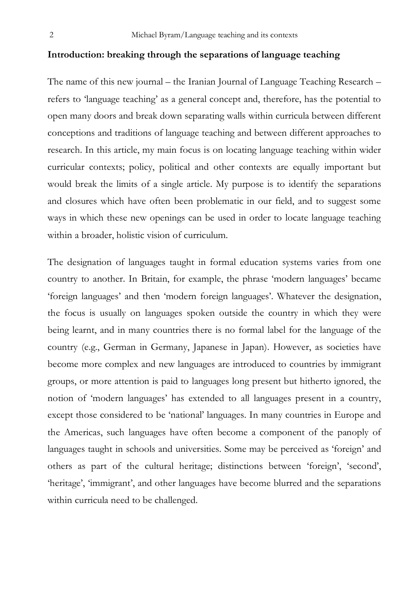## **Introduction: breaking through the separations of language teaching**

The name of this new journal – the Iranian Journal of Language Teaching Research – refers to 'language teaching' as a general concept and, therefore, has the potential to open many doors and break down separating walls within curricula between different conceptions and traditions of language teaching and between different approaches to research. In this article, my main focus is on locating language teaching within wider curricular contexts; policy, political and other contexts are equally important but would break the limits of a single article. My purpose is to identify the separations and closures which have often been problematic in our field, and to suggest some ways in which these new openings can be used in order to locate language teaching within a broader, holistic vision of curriculum.

The designation of languages taught in formal education systems varies from one country to another. In Britain, for example, the phrase 'modern languages' became 'foreign languages' and then 'modern foreign languages'. Whatever the designation, the focus is usually on languages spoken outside the country in which they were being learnt, and in many countries there is no formal label for the language of the country (e.g., German in Germany, Japanese in Japan). However, as societies have become more complex and new languages are introduced to countries by immigrant groups, or more attention is paid to languages long present but hitherto ignored, the notion of 'modern languages' has extended to all languages present in a country, except those considered to be 'national' languages. In many countries in Europe and the Americas, such languages have often become a component of the panoply of languages taught in schools and universities. Some may be perceived as 'foreign' and others as part of the cultural heritage; distinctions between 'foreign', 'second', 'heritage', 'immigrant', and other languages have become blurred and the separations within curricula need to be challenged.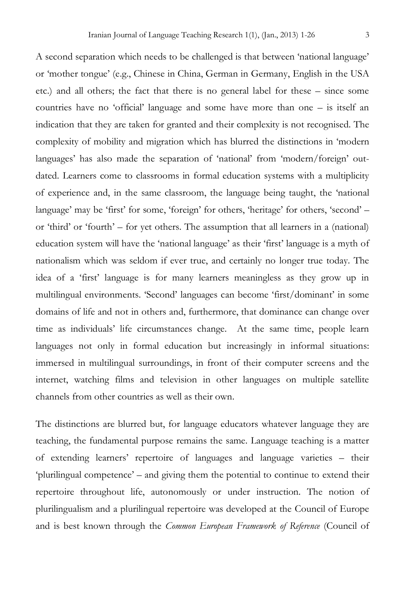A second separation which needs to be challenged is that between 'national language' or 'mother tongue' (e.g., Chinese in China, German in Germany, English in the USA etc.) and all others; the fact that there is no general label for these – since some countries have no 'official' language and some have more than one – is itself an indication that they are taken for granted and their complexity is not recognised. The complexity of mobility and migration which has blurred the distinctions in 'modern languages' has also made the separation of 'national' from 'modern/foreign' outdated. Learners come to classrooms in formal education systems with a multiplicity of experience and, in the same classroom, the language being taught, the 'national language' may be 'first' for some, 'foreign' for others, 'heritage' for others, 'second' – or 'third' or 'fourth' – for yet others. The assumption that all learners in a (national) education system will have the 'national language' as their 'first' language is a myth of nationalism which was seldom if ever true, and certainly no longer true today. The idea of a 'first' language is for many learners meaningless as they grow up in multilingual environments. 'Second' languages can become 'first/dominant' in some domains of life and not in others and, furthermore, that dominance can change over time as individuals' life circumstances change. At the same time, people learn languages not only in formal education but increasingly in informal situations: immersed in multilingual surroundings, in front of their computer screens and the internet, watching films and television in other languages on multiple satellite channels from other countries as well as their own.

The distinctions are blurred but, for language educators whatever language they are teaching, the fundamental purpose remains the same. Language teaching is a matter of extending learners' repertoire of languages and language varieties – their 'plurilingual competence' – and giving them the potential to continue to extend their repertoire throughout life, autonomously or under instruction. The notion of plurilingualism and a plurilingual repertoire was developed at the Council of Europe and is best known through the *Common European Framework of Reference* (Council of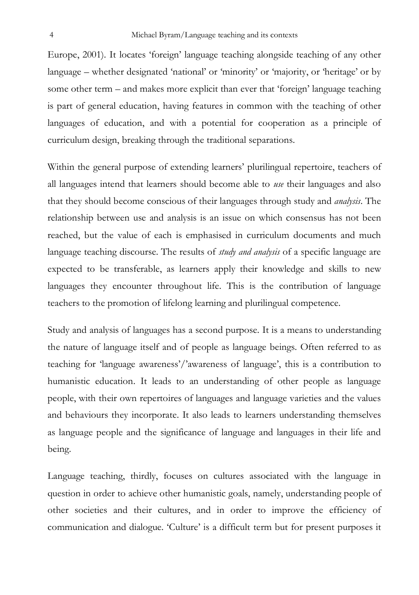Europe, 2001). It locates 'foreign' language teaching alongside teaching of any other language – whether designated 'national' or 'minority' or 'majority, or 'heritage' or by some other term – and makes more explicit than ever that 'foreign' language teaching is part of general education, having features in common with the teaching of other languages of education, and with a potential for cooperation as a principle of curriculum design, breaking through the traditional separations.

Within the general purpose of extending learners' plurilingual repertoire, teachers of all languages intend that learners should become able to *use* their languages and also that they should become conscious of their languages through study and *analysis*. The relationship between use and analysis is an issue on which consensus has not been reached, but the value of each is emphasised in curriculum documents and much language teaching discourse. The results of *study and analysis* of a specific language are expected to be transferable, as learners apply their knowledge and skills to new languages they encounter throughout life. This is the contribution of language teachers to the promotion of lifelong learning and plurilingual competence.

Study and analysis of languages has a second purpose. It is a means to understanding the nature of language itself and of people as language beings. Often referred to as teaching for 'language awareness'/'awareness of language', this is a contribution to humanistic education. It leads to an understanding of other people as language people, with their own repertoires of languages and language varieties and the values and behaviours they incorporate. It also leads to learners understanding themselves as language people and the significance of language and languages in their life and being.

Language teaching, thirdly, focuses on cultures associated with the language in question in order to achieve other humanistic goals, namely, understanding people of other societies and their cultures, and in order to improve the efficiency of communication and dialogue. 'Culture' is a difficult term but for present purposes it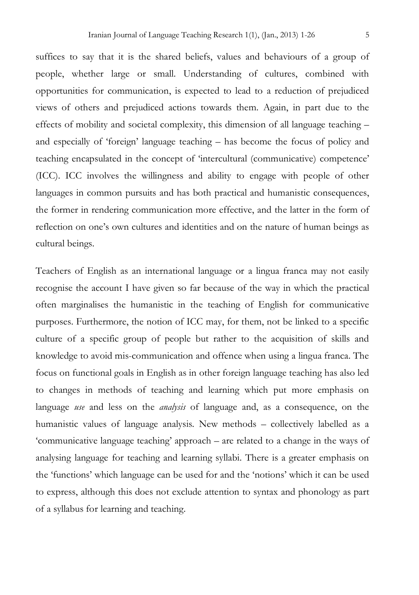suffices to say that it is the shared beliefs, values and behaviours of a group of people, whether large or small. Understanding of cultures, combined with opportunities for communication, is expected to lead to a reduction of prejudiced views of others and prejudiced actions towards them. Again, in part due to the effects of mobility and societal complexity, this dimension of all language teaching – and especially of 'foreign' language teaching – has become the focus of policy and teaching encapsulated in the concept of 'intercultural (communicative) competence' (ICC). ICC involves the willingness and ability to engage with people of other languages in common pursuits and has both practical and humanistic consequences, the former in rendering communication more effective, and the latter in the form of reflection on one's own cultures and identities and on the nature of human beings as cultural beings.

Teachers of English as an international language or a lingua franca may not easily recognise the account I have given so far because of the way in which the practical often marginalises the humanistic in the teaching of English for communicative purposes. Furthermore, the notion of ICC may, for them, not be linked to a specific culture of a specific group of people but rather to the acquisition of skills and knowledge to avoid mis-communication and offence when using a lingua franca. The focus on functional goals in English as in other foreign language teaching has also led to changes in methods of teaching and learning which put more emphasis on language *use* and less on the *analysis* of language and, as a consequence, on the humanistic values of language analysis. New methods – collectively labelled as a 'communicative language teaching' approach – are related to a change in the ways of analysing language for teaching and learning syllabi. There is a greater emphasis on the 'functions' which language can be used for and the 'notions' which it can be used to express, although this does not exclude attention to syntax and phonology as part of a syllabus for learning and teaching.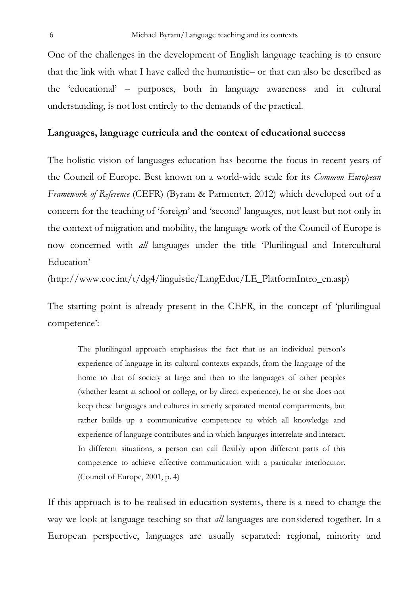One of the challenges in the development of English language teaching is to ensure that the link with what I have called the humanistic– or that can also be described as the 'educational' – purposes, both in language awareness and in cultural understanding, is not lost entirely to the demands of the practical.

## **Languages, language curricula and the context of educational success**

The holistic vision of languages education has become the focus in recent years of the Council of Europe. Best known on a world-wide scale for its *Common European Framework of Reference* (CEFR) (Byram & Parmenter, 2012) which developed out of a concern for the teaching of 'foreign' and 'second' languages, not least but not only in the context of migration and mobility, the language work of the Council of Europe is now concerned with *all* languages under the title 'Plurilingual and Intercultural Education'

(http://www.coe.int/t/dg4/linguistic/LangEduc/LE\_PlatformIntro\_en.asp)

The starting point is already present in the CEFR, in the concept of 'plurilingual competence':

The plurilingual approach emphasises the fact that as an individual person's experience of language in its cultural contexts expands, from the language of the home to that of society at large and then to the languages of other peoples (whether learnt at school or college, or by direct experience), he or she does not keep these languages and cultures in strictly separated mental compartments, but rather builds up a communicative competence to which all knowledge and experience of language contributes and in which languages interrelate and interact. In different situations, a person can call flexibly upon different parts of this competence to achieve effective communication with a particular interlocutor. (Council of Europe, 2001, p. 4)

If this approach is to be realised in education systems, there is a need to change the way we look at language teaching so that *all* languages are considered together. In a European perspective, languages are usually separated: regional, minority and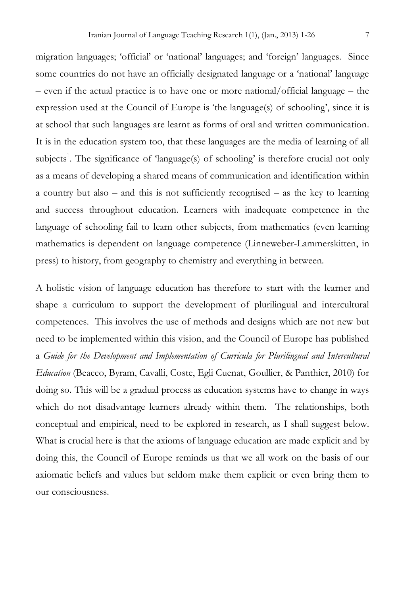migration languages; 'official' or 'national' languages; and 'foreign' languages. Since some countries do not have an officially designated language or a 'national' language – even if the actual practice is to have one or more national/official language – the expression used at the Council of Europe is 'the language(s) of schooling', since it is at school that such languages are learnt as forms of oral and written communication. It is in the education system too, that these languages are the media of learning of all subjects<sup>1</sup>. The significance of 'language(s) of schooling' is therefore crucial not only as a means of developing a shared means of communication and identification within a country but also – and this is not sufficiently recognised – as the key to learning and success throughout education. Learners with inadequate competence in the language of schooling fail to learn other subjects, from mathematics (even learning mathematics is dependent on language competence (Linneweber-Lammerskitten, in

A holistic vision of language education has therefore to start with the learner and shape a curriculum to support the development of plurilingual and intercultural competences. This involves the use of methods and designs which are not new but need to be implemented within this vision, and the Council of Europe has published a *Guide for the Development and Implementation of Curricula for Plurilingual and Intercultural Education* (Beacco, Byram, Cavalli, Coste, Egli Cuenat, Goullier, & Panthier, 2010) for doing so. This will be a gradual process as education systems have to change in ways which do not disadvantage learners already within them. The relationships, both conceptual and empirical, need to be explored in research, as I shall suggest below. What is crucial here is that the axioms of language education are made explicit and by doing this, the Council of Europe reminds us that we all work on the basis of our axiomatic beliefs and values but seldom make them explicit or even bring them to our consciousness.

press) to history, from geography to chemistry and everything in between.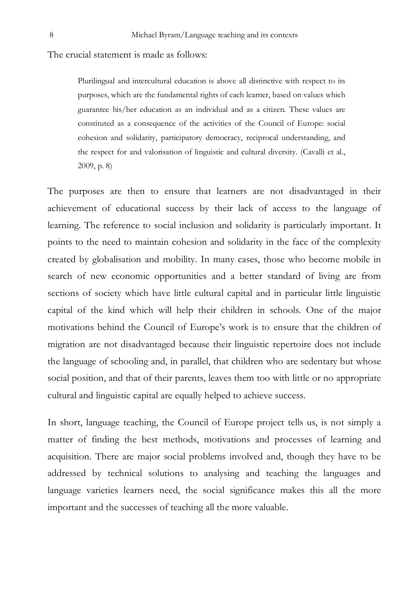The crucial statement is made as follows:

Plurilingual and intercultural education is above all distinctive with respect to its purposes, which are the fundamental rights of each learner, based on values which guarantee his/her education as an individual and as a citizen. These values are constituted as a consequence of the activities of the Council of Europe: social cohesion and solidarity, participatory democracy, reciprocal understanding, and the respect for and valorisation of linguistic and cultural diversity. (Cavalli et al., 2009, p. 8)

The purposes are then to ensure that learners are not disadvantaged in their achievement of educational success by their lack of access to the language of learning. The reference to social inclusion and solidarity is particularly important. It points to the need to maintain cohesion and solidarity in the face of the complexity created by globalisation and mobility. In many cases, those who become mobile in search of new economic opportunities and a better standard of living are from sections of society which have little cultural capital and in particular little linguistic capital of the kind which will help their children in schools. One of the major motivations behind the Council of Europe's work is to ensure that the children of migration are not disadvantaged because their linguistic repertoire does not include the language of schooling and, in parallel, that children who are sedentary but whose social position, and that of their parents, leaves them too with little or no appropriate cultural and linguistic capital are equally helped to achieve success.

In short, language teaching, the Council of Europe project tells us, is not simply a matter of finding the best methods, motivations and processes of learning and acquisition. There are major social problems involved and, though they have to be addressed by technical solutions to analysing and teaching the languages and language varieties learners need, the social significance makes this all the more important and the successes of teaching all the more valuable.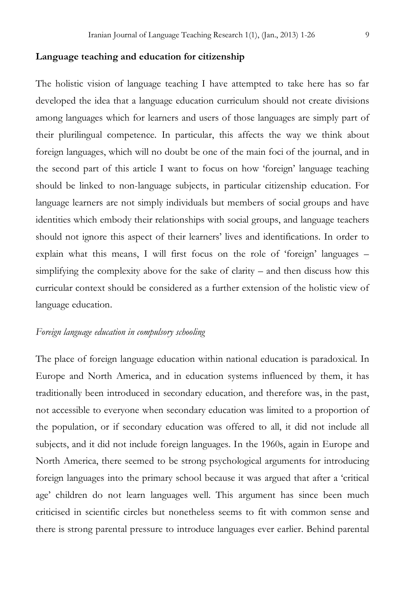## **Language teaching and education for citizenship**

The holistic vision of language teaching I have attempted to take here has so far developed the idea that a language education curriculum should not create divisions among languages which for learners and users of those languages are simply part of their plurilingual competence. In particular, this affects the way we think about foreign languages, which will no doubt be one of the main foci of the journal, and in the second part of this article I want to focus on how 'foreign' language teaching should be linked to non-language subjects, in particular citizenship education. For language learners are not simply individuals but members of social groups and have identities which embody their relationships with social groups, and language teachers should not ignore this aspect of their learners' lives and identifications. In order to explain what this means, I will first focus on the role of 'foreign' languages – simplifying the complexity above for the sake of clarity – and then discuss how this curricular context should be considered as a further extension of the holistic view of language education.

# *Foreign language education in compulsory schooling*

The place of foreign language education within national education is paradoxical. In Europe and North America, and in education systems influenced by them, it has traditionally been introduced in secondary education, and therefore was, in the past, not accessible to everyone when secondary education was limited to a proportion of the population, or if secondary education was offered to all, it did not include all subjects, and it did not include foreign languages. In the 1960s, again in Europe and North America, there seemed to be strong psychological arguments for introducing foreign languages into the primary school because it was argued that after a 'critical age' children do not learn languages well. This argument has since been much criticised in scientific circles but nonetheless seems to fit with common sense and there is strong parental pressure to introduce languages ever earlier. Behind parental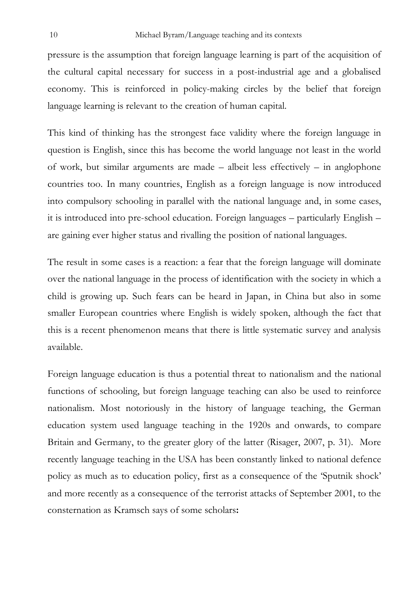pressure is the assumption that foreign language learning is part of the acquisition of the cultural capital necessary for success in a post-industrial age and a globalised economy. This is reinforced in policy-making circles by the belief that foreign language learning is relevant to the creation of human capital.

This kind of thinking has the strongest face validity where the foreign language in question is English, since this has become the world language not least in the world of work, but similar arguments are made – albeit less effectively – in anglophone countries too. In many countries, English as a foreign language is now introduced into compulsory schooling in parallel with the national language and, in some cases, it is introduced into pre-school education. Foreign languages – particularly English – are gaining ever higher status and rivalling the position of national languages.

The result in some cases is a reaction: a fear that the foreign language will dominate over the national language in the process of identification with the society in which a child is growing up. Such fears can be heard in Japan, in China but also in some smaller European countries where English is widely spoken, although the fact that this is a recent phenomenon means that there is little systematic survey and analysis available.

Foreign language education is thus a potential threat to nationalism and the national functions of schooling, but foreign language teaching can also be used to reinforce nationalism. Most notoriously in the history of language teaching, the German education system used language teaching in the 1920s and onwards, to compare Britain and Germany, to the greater glory of the latter (Risager, 2007, p. 31). More recently language teaching in the USA has been constantly linked to national defence policy as much as to education policy, first as a consequence of the 'Sputnik shock' and more recently as a consequence of the terrorist attacks of September 2001, to the consternation as Kramsch says of some scholars**:**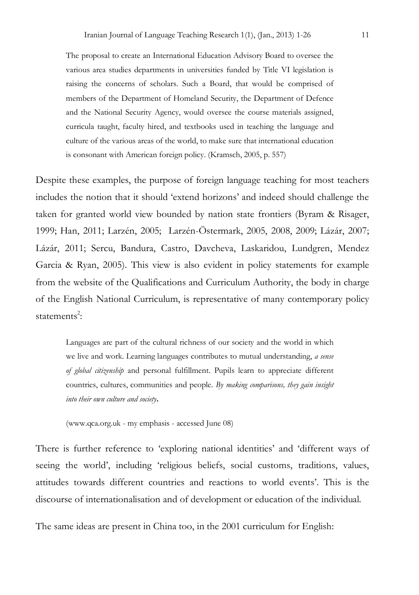The proposal to create an International Education Advisory Board to oversee the various area studies departments in universities funded by Title VI legislation is raising the concerns of scholars. Such a Board, that would be comprised of members of the Department of Homeland Security, the Department of Defence and the National Security Agency, would oversee the course materials assigned, curricula taught, faculty hired, and textbooks used in teaching the language and culture of the various areas of the world, to make sure that international education is consonant with American foreign policy. (Kramsch, 2005, p. 557)

Despite these examples, the purpose of foreign language teaching for most teachers includes the notion that it should 'extend horizons' and indeed should challenge the taken for granted world view bounded by nation state frontiers (Byram & Risager, 1999; Han, 2011; Larzén, 2005; Larzén-Östermark, 2005, 2008, 2009; Lázár, 2007; Lázár, 2011; Sercu, Bandura, Castro, Davcheva, Laskaridou, Lundgren, Mendez Garcia & Ryan, 2005). This view is also evident in policy statements for example from the website of the Qualifications and Curriculum Authority, the body in charge of the English National Curriculum, is representative of many contemporary policy statements<sup>2</sup>:

Languages are part of the cultural richness of our society and the world in which we live and work. Learning languages contributes to mutual understanding, *a sense of global citizenship* and personal fulfillment. Pupils learn to appreciate different countries, cultures, communities and people. *By making comparisons, they gain insight into their own culture and society***.**

(www.qca.org.uk - my emphasis - accessed June 08)

There is further reference to 'exploring national identities' and 'different ways of seeing the world', including 'religious beliefs, social customs, traditions, values, attitudes towards different countries and reactions to world events'. This is the discourse of internationalisation and of development or education of the individual.

The same ideas are present in China too, in the 2001 curriculum for English: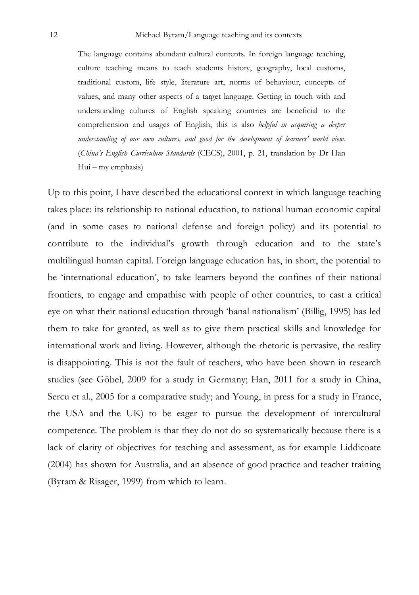The language contains abundant cultural contents. In foreign language teaching, culture teaching means to teach students history, geography, local customs, traditional custom, life style, literature art, norms of behaviour, concepts of values, and many other aspects of a target language. Getting in touch with and understanding cultures of English speaking countries are beneficial to the comprehension and usages of English; this is also *helpful in acquiring a deeper understanding of our own cultures, and good for the development of learners' world view*. (*China's English Curriculum Standards* (CECS), 2001, p. 21, translation by Dr Han Hui – my emphasis)

Up to this point, I have described the educational context in which language teaching takes place: its relationship to national education, to national human economic capital (and in some cases to national defense and foreign policy) and its potential to contribute to the individual's growth through education and to the state's multilingual human capital. Foreign language education has, in short, the potential to be 'international education', to take learners beyond the confines of their national frontiers, to engage and empathise with people of other countries, to cast a critical eye on what their national education through 'banal nationalism' (Billig, 1995) has led them to take for granted, as well as to give them practical skills and knowledge for international work and living. However, although the rhetoric is pervasive, the reality is disappointing. This is not the fault of teachers, who have been shown in research studies (see Göbel, 2009 for a study in Germany; Han, 2011 for a study in China, Sercu et al., 2005 for a comparative study; and Young, in press for a study in France, the USA and the UK) to be eager to pursue the development of intercultural competence. The problem is that they do not do so systematically because there is a lack of clarity of objectives for teaching and assessment, as for example Liddicoate (2004) has shown for Australia, and an absence of good practice and teacher training (Byram & Risager, 1999) from which to learn.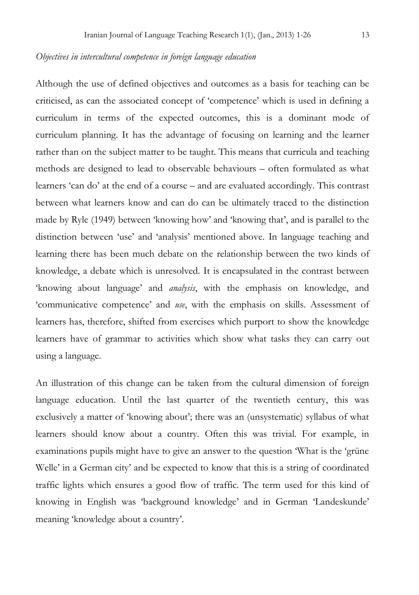# *Objectives in intercultural competence in foreign language education*

Although the use of defined objectives and outcomes as a basis for teaching can be criticised, as can the associated concept of 'competence' which is used in defining a curriculum in terms of the expected outcomes, this is a dominant mode of curriculum planning. It has the advantage of focusing on learning and the learner rather than on the subject matter to be taught. This means that curricula and teaching methods are designed to lead to observable behaviours – often formulated as what learners 'can do' at the end of a course – and are evaluated accordingly. This contrast between what learners know and can do can be ultimately traced to the distinction made by Ryle (1949) between 'knowing how' and 'knowing that', and is parallel to the distinction between 'use' and 'analysis' mentioned above. In language teaching and learning there has been much debate on the relationship between the two kinds of knowledge, a debate which is unresolved. It is encapsulated in the contrast between 'knowing about language' and *analysis*, with the emphasis on knowledge, and 'communicative competence' and *use*, with the emphasis on skills. Assessment of learners has, therefore, shifted from exercises which purport to show the knowledge learners have of grammar to activities which show what tasks they can carry out using a language.

An illustration of this change can be taken from the cultural dimension of foreign language education. Until the last quarter of the twentieth century, this was exclusively a matter of 'knowing about'; there was an (unsystematic) syllabus of what learners should know about a country. Often this was trivial. For example, in examinations pupils might have to give an answer to the question 'What is the 'grüne Welle' in a German city' and be expected to know that this is a string of coordinated traffic lights which ensures a good flow of traffic. The term used for this kind of knowing in English was 'background knowledge' and in German 'Landeskunde' meaning 'knowledge about a country'.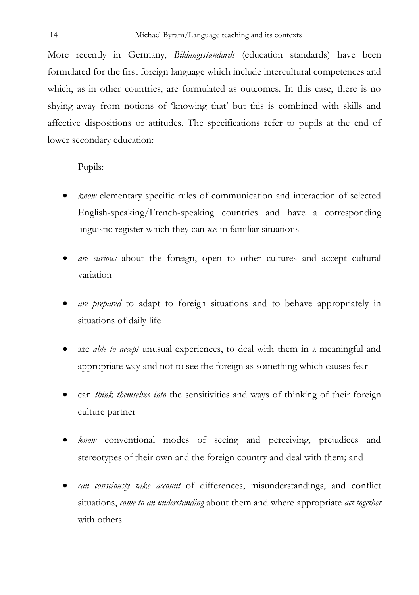More recently in Germany, *Bildungsstandards* (education standards) have been formulated for the first foreign language which include intercultural competences and which, as in other countries, are formulated as outcomes. In this case, there is no shying away from notions of 'knowing that' but this is combined with skills and affective dispositions or attitudes. The specifications refer to pupils at the end of lower secondary education:

Pupils:

- *know* elementary specific rules of communication and interaction of selected English-speaking/French-speaking countries and have a corresponding linguistic register which they can *use* in familiar situations
- *are curious* about the foreign, open to other cultures and accept cultural variation
- *are prepared* to adapt to foreign situations and to behave appropriately in situations of daily life
- are *able to accept* unusual experiences, to deal with them in a meaningful and appropriate way and not to see the foreign as something which causes fear
- can *think themselves into* the sensitivities and ways of thinking of their foreign culture partner
- *know* conventional modes of seeing and perceiving, prejudices and stereotypes of their own and the foreign country and deal with them; and
- *can consciously take account* of differences, misunderstandings, and conflict situations, *come to an understanding* about them and where appropriate *act together*  with others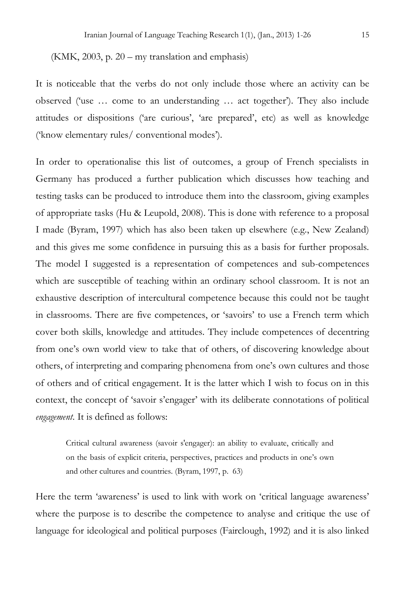(KMK, 2003, p. 20 – my translation and emphasis)

It is noticeable that the verbs do not only include those where an activity can be observed ('use … come to an understanding … act together'). They also include attitudes or dispositions ('are curious', 'are prepared', etc) as well as knowledge ('know elementary rules/ conventional modes').

In order to operationalise this list of outcomes, a group of French specialists in Germany has produced a further publication which discusses how teaching and testing tasks can be produced to introduce them into the classroom, giving examples of appropriate tasks (Hu & Leupold, 2008). This is done with reference to a proposal I made (Byram, 1997) which has also been taken up elsewhere (e.g., New Zealand) and this gives me some confidence in pursuing this as a basis for further proposals. The model I suggested is a representation of competences and sub-competences which are susceptible of teaching within an ordinary school classroom. It is not an exhaustive description of intercultural competence because this could not be taught in classrooms. There are five competences, or 'savoirs' to use a French term which cover both skills, knowledge and attitudes. They include competences of decentring from one's own world view to take that of others, of discovering knowledge about others, of interpreting and comparing phenomena from one's own cultures and those of others and of critical engagement. It is the latter which I wish to focus on in this context, the concept of 'savoir s'engager' with its deliberate connotations of political *engagement*. It is defined as follows:

Critical cultural awareness (savoir s'engager): an ability to evaluate, critically and on the basis of explicit criteria, perspectives, practices and products in one's own and other cultures and countries. (Byram, 1997, p. 63)

Here the term 'awareness' is used to link with work on 'critical language awareness' where the purpose is to describe the competence to analyse and critique the use of language for ideological and political purposes (Fairclough, 1992) and it is also linked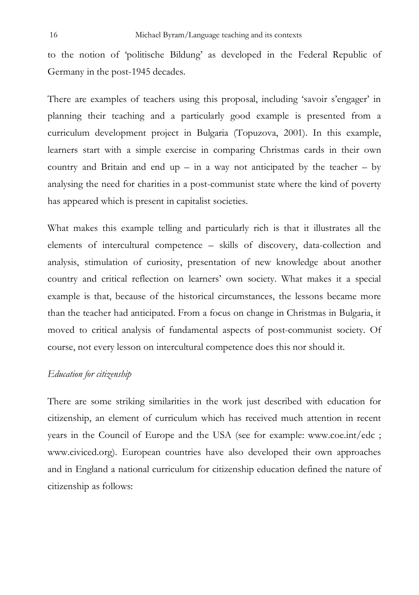to the notion of 'politische Bildung' as developed in the Federal Republic of Germany in the post-1945 decades.

There are examples of teachers using this proposal, including 'savoir s'engager' in planning their teaching and a particularly good example is presented from a curriculum development project in Bulgaria (Topuzova, 2001). In this example, learners start with a simple exercise in comparing Christmas cards in their own country and Britain and end up – in a way not anticipated by the teacher – by analysing the need for charities in a post-communist state where the kind of poverty has appeared which is present in capitalist societies.

What makes this example telling and particularly rich is that it illustrates all the elements of intercultural competence – skills of discovery, data-collection and analysis, stimulation of curiosity, presentation of new knowledge about another country and critical reflection on learners' own society. What makes it a special example is that, because of the historical circumstances, the lessons became more than the teacher had anticipated. From a focus on change in Christmas in Bulgaria, it moved to critical analysis of fundamental aspects of post-communist society. Of course, not every lesson on intercultural competence does this nor should it.

# *Education for citizenship*

There are some striking similarities in the work just described with education for citizenship, an element of curriculum which has received much attention in recent years in the Council of Europe and the USA (see for example: www.coe.int/edc ; www.civiced.org). European countries have also developed their own approaches and in England a national curriculum for citizenship education defined the nature of citizenship as follows: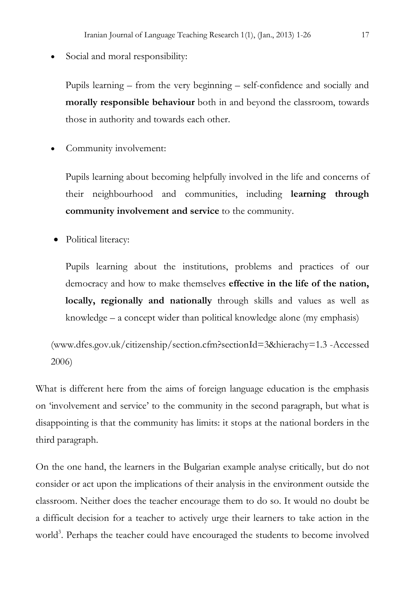Social and moral responsibility:

Pupils learning – from the very beginning – self-confidence and socially and **morally responsible behaviour** both in and beyond the classroom, towards those in authority and towards each other.

Community involvement:

Pupils learning about becoming helpfully involved in the life and concerns of their neighbourhood and communities, including **learning through community involvement and service** to the community.

Political literacy:

Pupils learning about the institutions, problems and practices of our democracy and how to make themselves **effective in the life of the nation, locally, regionally and nationally** through skills and values as well as knowledge – a concept wider than political knowledge alone (my emphasis)

(www.dfes.gov.uk/citizenship/section.cfm?sectionId=3&hierachy=1.3 -Accessed 2006)

What is different here from the aims of foreign language education is the emphasis on 'involvement and service' to the community in the second paragraph, but what is disappointing is that the community has limits: it stops at the national borders in the third paragraph.

On the one hand, the learners in the Bulgarian example analyse critically, but do not consider or act upon the implications of their analysis in the environment outside the classroom. Neither does the teacher encourage them to do so. It would no doubt be a difficult decision for a teacher to actively urge their learners to take action in the world<sup>3</sup>. Perhaps the teacher could have encouraged the students to become involved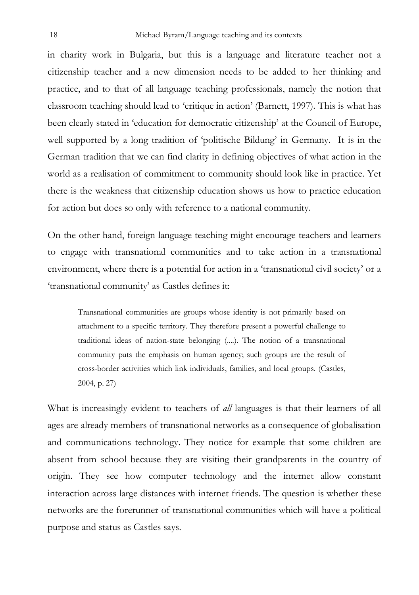in charity work in Bulgaria, but this is a language and literature teacher not a citizenship teacher and a new dimension needs to be added to her thinking and practice, and to that of all language teaching professionals, namely the notion that classroom teaching should lead to 'critique in action' (Barnett, 1997). This is what has been clearly stated in 'education for democratic citizenship' at the Council of Europe, well supported by a long tradition of 'politische Bildung' in Germany. It is in the German tradition that we can find clarity in defining objectives of what action in the world as a realisation of commitment to community should look like in practice. Yet there is the weakness that citizenship education shows us how to practice education for action but does so only with reference to a national community.

On the other hand, foreign language teaching might encourage teachers and learners to engage with transnational communities and to take action in a transnational environment, where there is a potential for action in a 'transnational civil society' or a 'transnational community' as Castles defines it:

Transnational communities are groups whose identity is not primarily based on attachment to a specific territory. They therefore present a powerful challenge to traditional ideas of nation-state belonging (....). The notion of a transnational community puts the emphasis on human agency; such groups are the result of cross-border activities which link individuals, families, and local groups. (Castles, 2004, p. 27)

What is increasingly evident to teachers of *all* languages is that their learners of all ages are already members of transnational networks as a consequence of globalisation and communications technology. They notice for example that some children are absent from school because they are visiting their grandparents in the country of origin. They see how computer technology and the internet allow constant interaction across large distances with internet friends. The question is whether these networks are the forerunner of transnational communities which will have a political purpose and status as Castles says.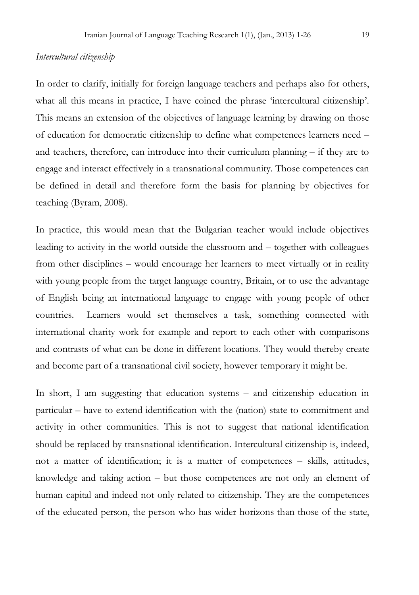## *Intercultural citizenship*

In order to clarify, initially for foreign language teachers and perhaps also for others, what all this means in practice, I have coined the phrase 'intercultural citizenship'. This means an extension of the objectives of language learning by drawing on those of education for democratic citizenship to define what competences learners need – and teachers, therefore, can introduce into their curriculum planning – if they are to engage and interact effectively in a transnational community. Those competences can be defined in detail and therefore form the basis for planning by objectives for teaching (Byram, 2008).

In practice, this would mean that the Bulgarian teacher would include objectives leading to activity in the world outside the classroom and – together with colleagues from other disciplines – would encourage her learners to meet virtually or in reality with young people from the target language country, Britain, or to use the advantage of English being an international language to engage with young people of other countries. Learners would set themselves a task, something connected with international charity work for example and report to each other with comparisons and contrasts of what can be done in different locations. They would thereby create and become part of a transnational civil society, however temporary it might be.

In short, I am suggesting that education systems – and citizenship education in particular – have to extend identification with the (nation) state to commitment and activity in other communities. This is not to suggest that national identification should be replaced by transnational identification. Intercultural citizenship is, indeed, not a matter of identification; it is a matter of competences – skills, attitudes, knowledge and taking action – but those competences are not only an element of human capital and indeed not only related to citizenship. They are the competences of the educated person, the person who has wider horizons than those of the state,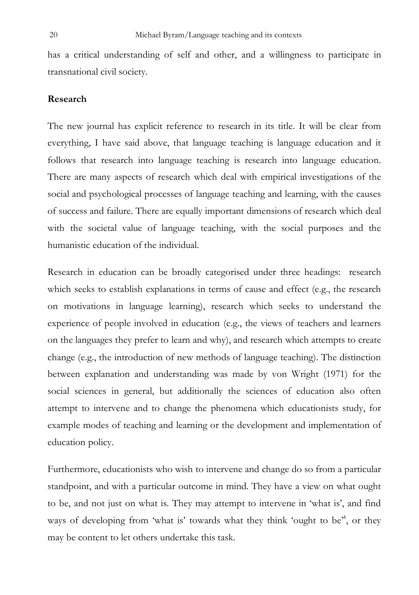has a critical understanding of self and other, and a willingness to participate in transnational civil society.

## **Research**

The new journal has explicit reference to research in its title. It will be clear from everything, I have said above, that language teaching is language education and it follows that research into language teaching is research into language education. There are many aspects of research which deal with empirical investigations of the social and psychological processes of language teaching and learning, with the causes of success and failure. There are equally important dimensions of research which deal with the societal value of language teaching, with the social purposes and the humanistic education of the individual.

Research in education can be broadly categorised under three headings: research which seeks to establish explanations in terms of cause and effect (e.g., the research on motivations in language learning), research which seeks to understand the experience of people involved in education (e.g., the views of teachers and learners on the languages they prefer to learn and why), and research which attempts to create change (e.g., the introduction of new methods of language teaching). The distinction between explanation and understanding was made by von Wright (1971) for the social sciences in general, but additionally the sciences of education also often attempt to intervene and to change the phenomena which educationists study, for example modes of teaching and learning or the development and implementation of education policy.

Furthermore, educationists who wish to intervene and change do so from a particular standpoint, and with a particular outcome in mind. They have a view on what ought to be, and not just on what is. They may attempt to intervene in 'what is', and find ways of developing from 'what is' towards what they think 'ought to be<sup>4</sup>, or they may be content to let others undertake this task.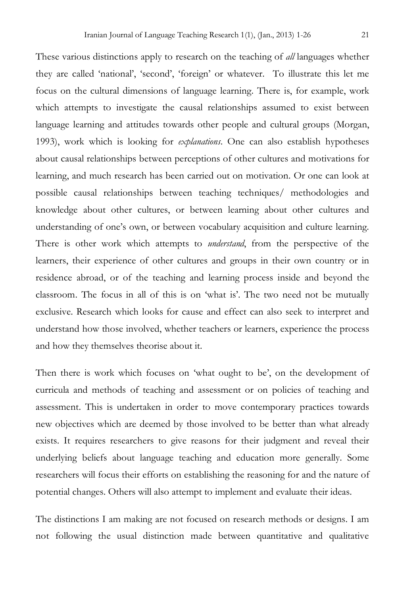These various distinctions apply to research on the teaching of *all* languages whether they are called 'national', 'second', 'foreign' or whatever. To illustrate this let me focus on the cultural dimensions of language learning. There is, for example, work which attempts to investigate the causal relationships assumed to exist between language learning and attitudes towards other people and cultural groups (Morgan, 1993), work which is looking for *explanations*. One can also establish hypotheses about causal relationships between perceptions of other cultures and motivations for learning, and much research has been carried out on motivation. Or one can look at possible causal relationships between teaching techniques/ methodologies and knowledge about other cultures, or between learning about other cultures and understanding of one's own, or between vocabulary acquisition and culture learning. There is other work which attempts to *understand*, from the perspective of the learners, their experience of other cultures and groups in their own country or in residence abroad, or of the teaching and learning process inside and beyond the classroom. The focus in all of this is on 'what is'. The two need not be mutually exclusive. Research which looks for cause and effect can also seek to interpret and understand how those involved, whether teachers or learners, experience the process and how they themselves theorise about it.

Then there is work which focuses on 'what ought to be', on the development of curricula and methods of teaching and assessment or on policies of teaching and assessment. This is undertaken in order to move contemporary practices towards new objectives which are deemed by those involved to be better than what already exists. It requires researchers to give reasons for their judgment and reveal their underlying beliefs about language teaching and education more generally. Some researchers will focus their efforts on establishing the reasoning for and the nature of potential changes. Others will also attempt to implement and evaluate their ideas.

The distinctions I am making are not focused on research methods or designs. I am not following the usual distinction made between quantitative and qualitative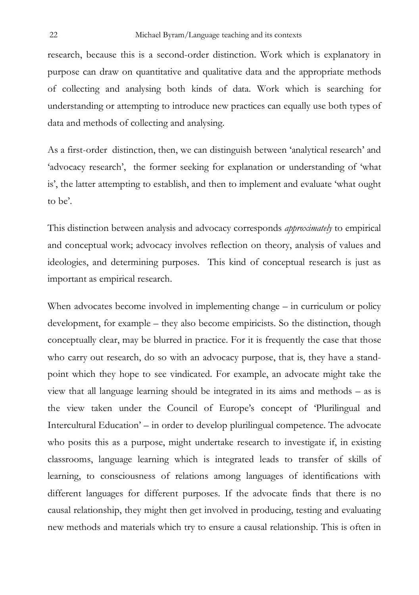research, because this is a second-order distinction. Work which is explanatory in purpose can draw on quantitative and qualitative data and the appropriate methods of collecting and analysing both kinds of data. Work which is searching for understanding or attempting to introduce new practices can equally use both types of data and methods of collecting and analysing.

As a first-order distinction, then, we can distinguish between 'analytical research' and 'advocacy research', the former seeking for explanation or understanding of 'what is', the latter attempting to establish, and then to implement and evaluate 'what ought to be'.

This distinction between analysis and advocacy corresponds *approximately* to empirical and conceptual work; advocacy involves reflection on theory, analysis of values and ideologies, and determining purposes. This kind of conceptual research is just as important as empirical research.

When advocates become involved in implementing change – in curriculum or policy development, for example – they also become empiricists. So the distinction, though conceptually clear, may be blurred in practice. For it is frequently the case that those who carry out research, do so with an advocacy purpose, that is, they have a standpoint which they hope to see vindicated. For example, an advocate might take the view that all language learning should be integrated in its aims and methods – as is the view taken under the Council of Europe's concept of 'Plurilingual and Intercultural Education' – in order to develop plurilingual competence. The advocate who posits this as a purpose, might undertake research to investigate if, in existing classrooms, language learning which is integrated leads to transfer of skills of learning, to consciousness of relations among languages of identifications with different languages for different purposes. If the advocate finds that there is no causal relationship, they might then get involved in producing, testing and evaluating new methods and materials which try to ensure a causal relationship. This is often in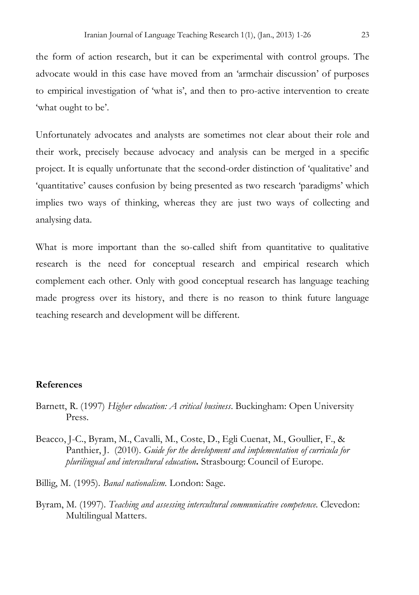the form of action research, but it can be experimental with control groups. The advocate would in this case have moved from an 'armchair discussion' of purposes to empirical investigation of 'what is', and then to pro-active intervention to create 'what ought to be'.

Unfortunately advocates and analysts are sometimes not clear about their role and their work, precisely because advocacy and analysis can be merged in a specific project. It is equally unfortunate that the second-order distinction of 'qualitative' and 'quantitative' causes confusion by being presented as two research 'paradigms' which implies two ways of thinking, whereas they are just two ways of collecting and analysing data.

What is more important than the so-called shift from quantitative to qualitative research is the need for conceptual research and empirical research which complement each other. Only with good conceptual research has language teaching made progress over its history, and there is no reason to think future language teaching research and development will be different.

## **References**

- Barnett, R. (1997) *Higher education: A critical business*. Buckingham: Open University Press.
- Beacco, J-C., Byram, M., Cavalli, M., Coste, D., Egli Cuenat, M., Goullier, F., & Panthier, J. (2010). *Guide for the development and implementation of curricula for plurilingual and intercultural education***.** Strasbourg: Council of Europe.
- Billig, M. (1995). *Banal nationalism.* London: Sage.
- Byram, M. (1997). *Teaching and assessing intercultural communicative competence.* Clevedon: Multilingual Matters.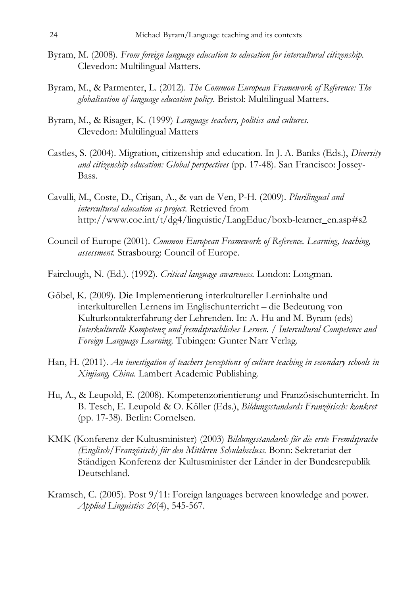- Byram, M. (2008). *From foreign language education to education for intercultural citizenship.* Clevedon: Multilingual Matters.
- Byram, M., & Parmenter, L. (2012). *The Common European Framework of Reference: The globalisation of language education policy.* Bristol: Multilingual Matters.
- Byram, M., & Risager, K. (1999) *Language teachers, politics and cultures.*  Clevedon: Multilingual Matters
- Castles, S. (2004). Migration, citizenship and education. In J. A. Banks (Eds.), *Diversity and citizenship education: Global perspectives* (pp. 17-48). San Francisco: Jossey-Bass.
- Cavalli, M., Coste, D., Crişan, A., & van de Ven, P-H. (2009). *Plurilingual and intercultural education as project.* Retrieved from http://www.coe.int/t/dg4/linguistic/LangEduc/boxb-learner\_en.asp#s2
- Council of Europe (2001). *Common European Framework of Reference. Learning, teaching, assessment.* Strasbourg: Council of Europe.
- Fairclough, N. (Ed.). (1992). *Critical language awareness*. London: Longman.
- Göbel, K. (2009). Die Implementierung interkultureller Lerninhalte und interkulturellen Lernens im Englischunterricht – die Bedeutung von Kulturkontakterfahrung der Lehrenden. In: A. Hu and M. Byram (eds) *Interkulturelle Kompetenz und fremdsprachliches Lernen. / Intercultural Competence and Foreign Language Learning.* Tubingen: Gunter Narr Verlag.
- Han, H. (2011). *An investigation of teachers perceptions of culture teaching in secondary schools in Xinjiang, China*. Lambert Academic Publishing.
- Hu, A., & Leupold, E. (2008). Kompetenzorientierung und Französischunterricht. In B. Tesch, E. Leupold & O. Köller (Eds.), *Bildungsstandards Französisch: konkret*  (pp*.* 17-38). Berlin: Cornelsen.
- KMK (Konferenz der Kultusminister) (2003) *Bildungsstandards für die erste Fremdsprache (Englisch/Französisch) für den Mittleren Schulabscluss.* Bonn: Sekretariat der Ständigen Konferenz der Kultusminister der Länder in der Bundesrepublik Deutschland.
- Kramsch, C. (2005). Post 9/11: Foreign languages between knowledge and power. *Applied Linguistics 26*(4), 545-567.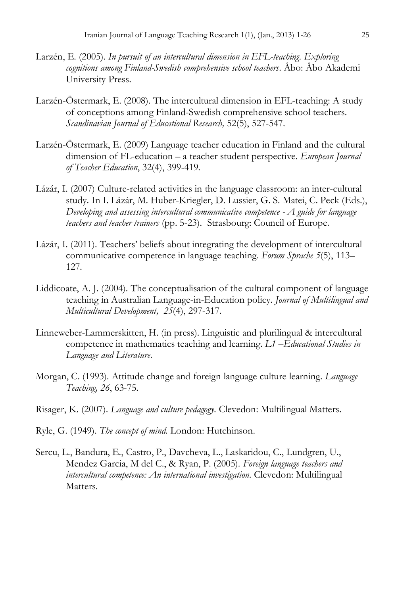- Larzén, E. (2005). *In pursuit of an intercultural dimension in EFL-teaching. Exploring cognitions among Finland-Swedish comprehensive school teachers*. Åbo: Åbo Akademi University Press.
- Larzén-Östermark, E. (2008). The intercultural dimension in EFL-teaching: A study of conceptions among Finland-Swedish comprehensive school teachers. *Scandinavian Journal of Educational Research,* 52(5), 527-547.
- Larzén-Östermark, E. (2009) Language teacher education in Finland and the cultural dimension of FL-education – a teacher student perspective. *European Journal of Teacher Education*, 32(4), 399-419.
- Lázár, I. (2007) Culture-related activities in the language classroom: an inter-cultural study. In I. Lázár, M. Huber-Kriegler, D. Lussier, G. S. Matei, C. Peck (Eds.), *Developing and assessing intercultural communicative competence - A guide for language teachers and teacher trainers* (pp. 5-23). Strasbourg: Council of Europe.
- Lázár, I. (2011). Teachers' beliefs about integrating the development of intercultural communicative competence in language teaching. *Forum Sprache 5*(5), 113– 127.
- Liddicoate, A. J. (2004). The conceptualisation of the cultural component of language teaching in Australian Language-in-Education policy. *Journal of Multilingual and Multicultural Development, 25*(4), 297-317.
- Linneweber-Lammerskitten, H. (in press). Linguistic and plurilingual & intercultural competence in mathematics teaching and learning. *L1 –Educational Studies in Language and Literature*.
- Morgan, C. (1993). Attitude change and foreign language culture learning. *Language Teaching, 26*, 63-75.
- Risager, K. (2007). *Language and culture pedagogy.* Clevedon: Multilingual Matters.
- Ryle, G. (1949). *The concept of mind*. London: Hutchinson.
- Sercu, L., Bandura, E., Castro, P., Davcheva, L., Laskaridou, C., Lundgren, U., Mendez Garcia, M del C., & Ryan, P. (2005). *Foreign language teachers and intercultural competence: An international investigation.* Clevedon: Multilingual Matters.